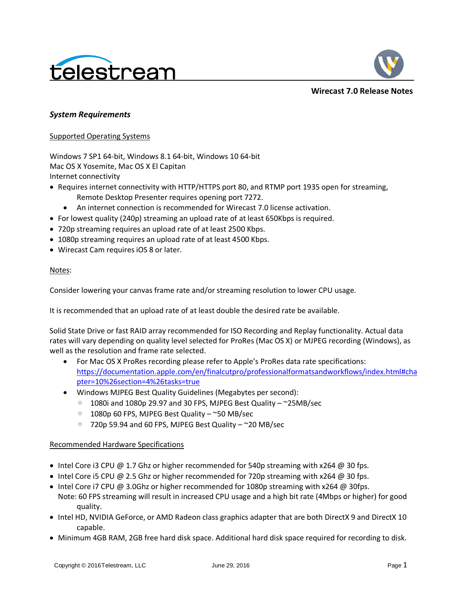



**Wirecast 7.0 Release Notes**

## *System Requirements*

#### Supported Operating Systems

Windows 7 SP1 64-bit, Windows 8.1 64-bit, Windows 10 64-bit Mac OS X Yosemite, Mac OS X El Capitan Internet connectivity

- Requires internet connectivity with HTTP/HTTPS port 80, and RTMP port 1935 open for streaming, Remote Desktop Presenter requires opening port 7272.
	- An internet connection is recommended for Wirecast 7.0 license activation.
- For lowest quality (240p) streaming an upload rate of at least 650Kbps is required.
- 720p streaming requires an upload rate of at least 2500 Kbps.
- 1080p streaming requires an upload rate of at least 4500 Kbps.
- Wirecast Cam requires iOS 8 or later.

### Notes:

Consider lowering your canvas frame rate and/or streaming resolution to lower CPU usage.

It is recommended that an upload rate of at least double the desired rate be available.

Solid State Drive or fast RAID array recommended for ISO Recording and Replay functionality. Actual data rates will vary depending on quality level selected for ProRes (Mac OS X) or MJPEG recording (Windows), as well as the resolution and frame rate selected.

- For Mac OS X ProRes recording please refer to Apple's ProRes data rate specifications: [https://documentation.apple.com/en/finalcutpro/professionalformatsandworkflows/index.html#cha](https://documentation.apple.com/en/finalcutpro/professionalformatsandworkflows/index.html#chapter=10%26section=4%26tasks=true) [pter=10%26section=4%26tasks=true](https://documentation.apple.com/en/finalcutpro/professionalformatsandworkflows/index.html#chapter=10%26section=4%26tasks=true)
- Windows MJPEG Best Quality Guidelines (Megabytes per second):
	- $\degree$  1080i and 1080p 29.97 and 30 FPS, MJPEG Best Quality  $\degree$ 25MB/sec
	- 1080p 60 FPS, MJPEG Best Quality ~50 MB/sec
	- 720p 59.94 and 60 FPS, MJPEG Best Quality ~20 MB/sec

## Recommended Hardware Specifications

- Intel Core i3 CPU  $\omega$  1.7 Ghz or higher recommended for 540p streaming with x264  $\omega$  30 fps.
- Intel Core i5 CPU @ 2.5 Ghz or higher recommended for 720p streaming with x264 @ 30 fps.
- Intel Core i7 CPU @ 3.0Ghz or higher recommended for 1080p streaming with  $x264$  @ 30fps.
- Note: 60 FPS streaming will result in increased CPU usage and a high bit rate (4Mbps or higher) for good quality.
- Intel HD, NVIDIA GeForce, or AMD Radeon class graphics adapter that are both DirectX 9 and DirectX 10 capable.
- Minimum 4GB RAM, 2GB free hard disk space. Additional hard disk space required for recording to disk.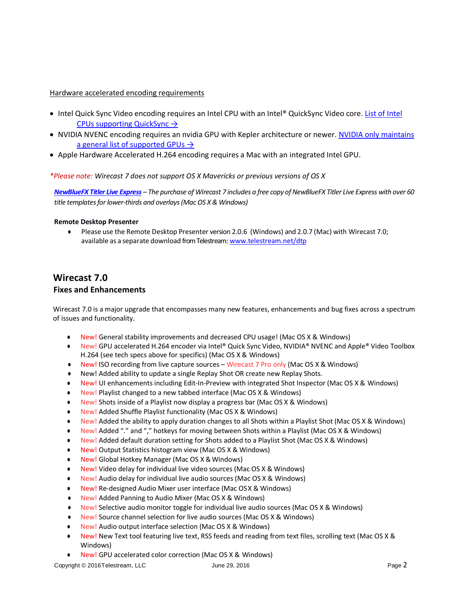## Hardware accelerated encoding requirements

- Intel Quick Sync Video encoding requires an Intel CPU with an Intel® QuickSync Video core. [List of Intel](http://ark.intel.com/search/advanced?QuickSyncVideo=true&MarketSegment=DT)  [CPUs supporting QuickSync](http://ark.intel.com/search/advanced?QuickSyncVideo=true&MarketSegment=DT)  $\rightarrow$
- NVIDIA NVENC encoding requires an nvidia GPU with Kepler architecture or newer. [NVIDIA only maintains](https://developer.nvidia.com/nvidia-video-codec-sdk#gpulist)  [a general list of supported GPUs](https://developer.nvidia.com/nvidia-video-codec-sdk#gpulist)  $\rightarrow$
- Apple Hardware Accelerated H.264 encoding requires a Mac with an integrated Intel GPU.

### *\*Please note: Wirecast 7 does not support OS X Mavericks or previous versions of OS X*

*[NewBlueFX Titler Live Express](http://www.telestream.net/wirecast/newblue.htm#products) – The purchase of Wirecast 7 includes a free copy of NewBlueFX Titler Live Express with over 60 title templates for lower-thirds and overlays (Mac OS X & Windows)*

#### **Remote Desktop Presenter**

**●** Please use the Remote Desktop Presenter version 2.0.6 (Windows) and 2.0.7 (Mac) with Wirecast 7.0; available as a separate download from Telestream: www.telestream.net/dtp

# **Wirecast 7.0 Fixes and Enhancements**

Wirecast 7.0 is a major upgrade that encompasses many new features, enhancements and bug fixes across a spectrum of issues and functionality.

- **●** New! General stability improvements and decreased CPU usage! (Mac OS X & Windows)
- **●** New! GPU accelerated H.264 encoder via Intel® Quick Sync Video, NVIDIA® NVENC and Apple® Video Toolbox H.264 (see tech specs above for specifics) (Mac OS X & Windows)
- **●** New! ISO recording from live capture sources Wirecast 7 Pro only (Mac OS X & Windows)
- **●** New! Added ability to update a single Replay Shot OR create new Replay Shots.
- New! UI enhancements including Edit-In-Preview with integrated Shot Inspector (Mac OS X & Windows)
- **●** New! Playlist changed to a new tabbed interface (Mac OS X & Windows)
- **●** New! Shots inside of a Playlist now display a progress bar (Mac OS X & Windows)
- **●** New! Added Shuffle Playlist functionality (Mac OS X & Windows)
- **●** New! Added the ability to apply duration changes to all Shots within a Playlist Shot (Mac OS X & Windows)
- **New! Added "." and "," hotkeys for moving between Shots within a Playlist (Mac OS X & Windows)**
- **●** New! Added default duration setting for Shots added to a Playlist Shot (Mac OS X & Windows)
- **●** New! Output Statistics histogram view (Mac OS X & Windows)
- New! Global Hotkey Manager (Mac OS X & Windows)
- **●** New! Video delay for individual live video sources (Mac OS X & Windows)
- **●** New! Audio delay for individual live audio sources (Mac OS X & Windows)
- **●** New! Re-designed Audio Mixer user interface (Mac OSX & Windows)
- **●** New! Added Panning to Audio Mixer (Mac OS X & Windows)
- **●** New! Selective audio monitor toggle for individual live audio sources (Mac OS X & Windows)
- **●** New! Source channel selection for live audio sources (Mac OS X & Windows)
- **New!** Audio output interface selection (Mac OS X & Windows)
- **●** New! New Text tool featuring live text, RSS feeds and reading from text files, scrolling text (Mac OS X & Windows)
- **New! GPU accelerated color correction (Mac OS X & Windows)**